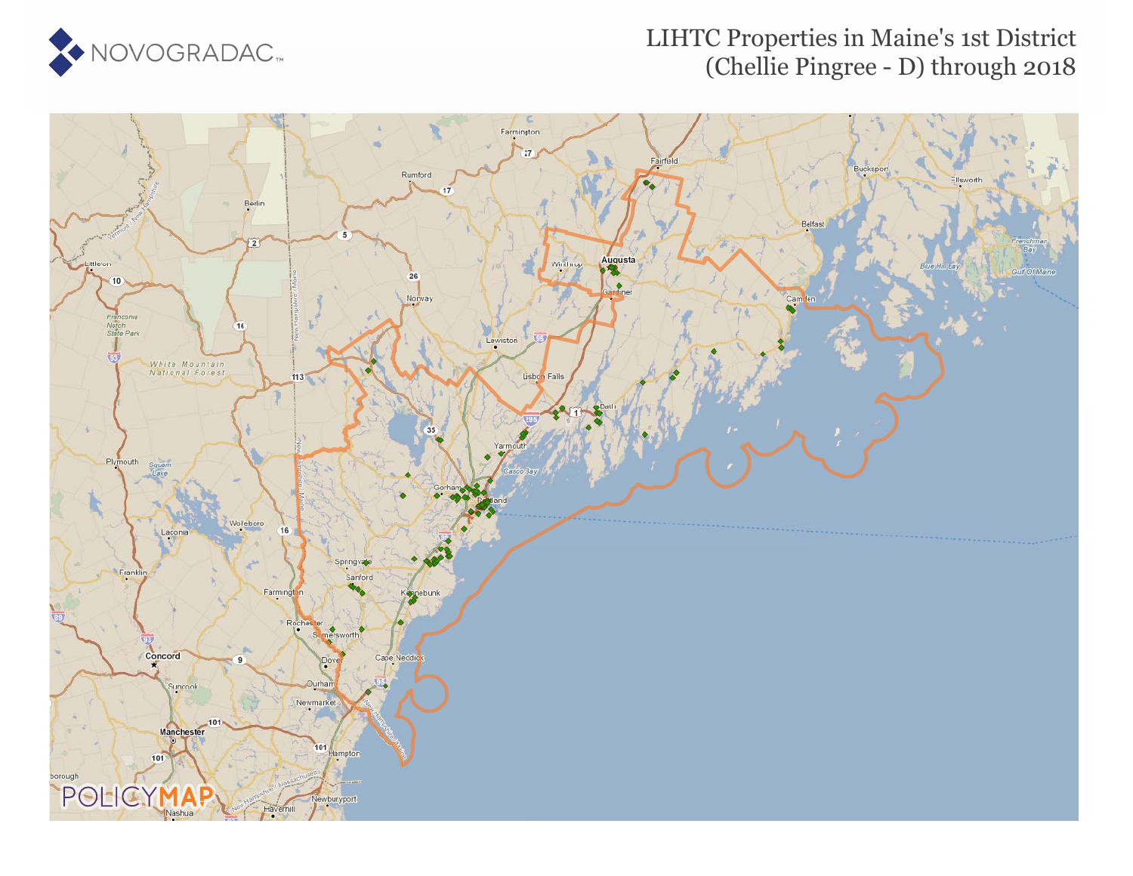

## LIHTC Properties in Maine's 1st District (Chellie Pingree - D) through 2018

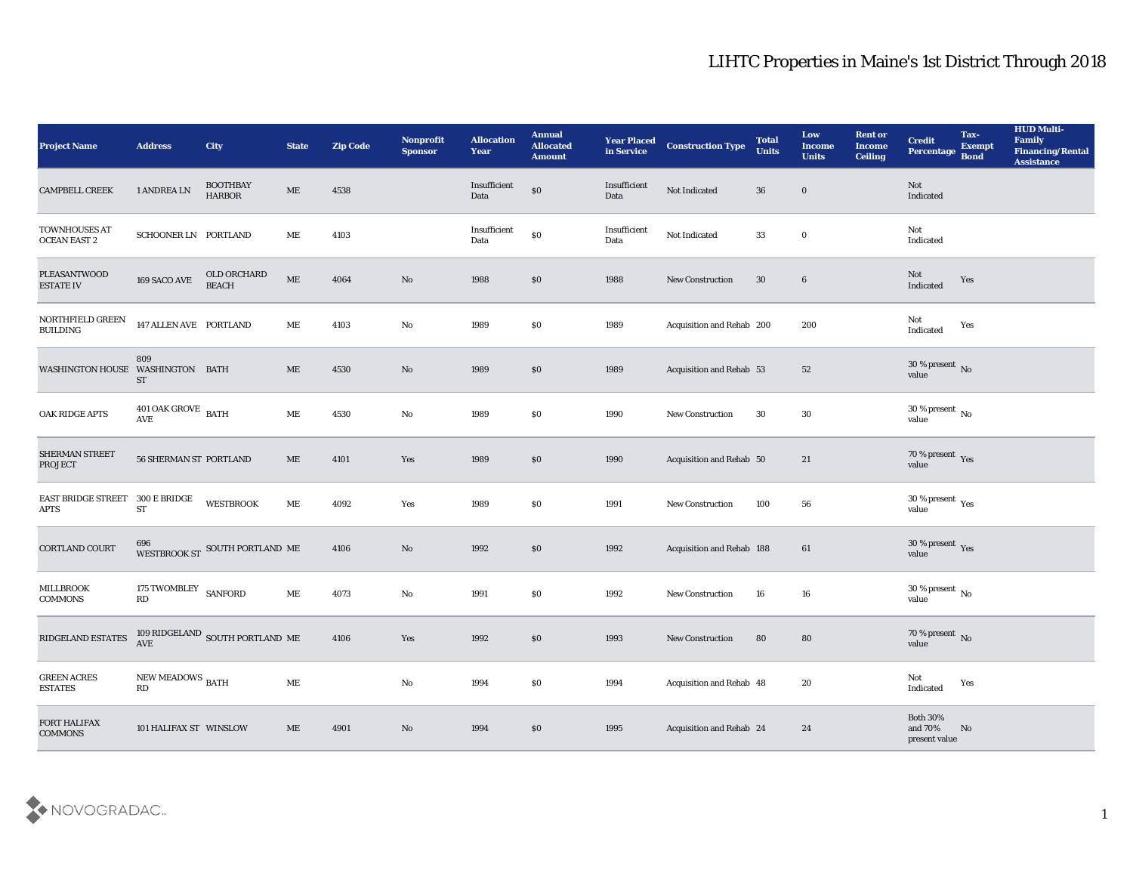| <b>Project Name</b>                      | <b>Address</b>                                    | <b>City</b>                       | <b>State</b>                 | <b>Zip Code</b> | Nonprofit<br><b>Sponsor</b> | <b>Allocation</b><br><b>Year</b> | <b>Annual</b><br><b>Allocated</b><br><b>Amount</b> | <b>Year Placed</b><br>in Service | <b>Construction Type</b>         | <b>Total</b><br><b>Units</b> | Low<br><b>Income</b><br><b>Units</b> | <b>Rent or</b><br><b>Income</b><br><b>Ceiling</b> | <b>Credit</b><br>Percentage Bond           | Tax-<br><b>Exempt</b> | <b>HUD Multi-</b><br>Family<br><b>Financing/Rental</b><br><b>Assistance</b> |
|------------------------------------------|---------------------------------------------------|-----------------------------------|------------------------------|-----------------|-----------------------------|----------------------------------|----------------------------------------------------|----------------------------------|----------------------------------|------------------------------|--------------------------------------|---------------------------------------------------|--------------------------------------------|-----------------------|-----------------------------------------------------------------------------|
| <b>CAMPBELL CREEK</b>                    | 1 ANDREA LN                                       | <b>BOOTHBAY</b><br>${\tt HARBOR}$ | ME                           | 4538            |                             | Insufficient<br>Data             | $\$0$                                              | Insufficient<br>Data             | Not Indicated                    | 36                           | $\bf{0}$                             |                                                   | Not<br>Indicated                           |                       |                                                                             |
| TOWNHOUSES AT<br><b>OCEAN EAST 2</b>     | SCHOONER LN PORTLAND                              |                                   | ME                           | 4103            |                             | Insufficient<br>Data             | $\$0$                                              | Insufficient<br>Data             | Not Indicated                    | 33                           | $\bf{0}$                             |                                                   | Not<br>Indicated                           |                       |                                                                             |
| PLEASANTWOOD<br><b>ESTATE IV</b>         | $169\,$ SACO AVE                                  | OLD ORCHARD<br><b>BEACH</b>       | $\mathbf{ME}$                | 4064            | $\mathbf{N}\mathbf{o}$      | 1988                             | \$0                                                | 1988                             | New Construction                 | 30                           | $\boldsymbol{6}$                     |                                                   | Not<br>Indicated                           | Yes                   |                                                                             |
| NORTHFIELD GREEN<br><b>BUILDING</b>      | 147 ALLEN AVE PORTLAND                            |                                   | ME                           | 4103            | $\mathbf{N}\mathbf{o}$      | 1989                             | \$0                                                | 1989                             | Acquisition and Rehab 200        |                              | 200                                  |                                                   | Not<br>Indicated                           | Yes                   |                                                                             |
| WASHINGTON HOUSE WASHINGTON BATH         | 809<br><b>ST</b>                                  |                                   | ME                           | 4530            | No                          | 1989                             | \$0                                                | 1989                             | Acquisition and Rehab 53         |                              | 52                                   |                                                   | $30\,\%$ present $\,$ No value             |                       |                                                                             |
| OAK RIDGE APTS                           | $401$ OAK GROVE $\,$ BATH<br>$\operatorname{AVE}$ |                                   | ME                           | 4530            | $\mathbf{N}\mathbf{o}$      | 1989                             | \$0                                                | 1990                             | <b>New Construction</b>          | 30                           | 30                                   |                                                   | $30\,\%$ present $\,$ No value             |                       |                                                                             |
| SHERMAN STREET<br><b>PROJECT</b>         | <b>56 SHERMAN ST PORTLAND</b>                     |                                   | ME                           | 4101            | Yes                         | 1989                             | \$0                                                | 1990                             | Acquisition and Rehab 50         |                              | 21                                   |                                                   | $70\,\%$ present $\,$ Yes value            |                       |                                                                             |
| <b>EAST BRIDGE STREET</b><br><b>APTS</b> | 300 E BRIDGE<br><b>ST</b>                         | <b>WESTBROOK</b>                  | ME                           | 4092            | Yes                         | 1989                             | \$0                                                | 1991                             | <b>New Construction</b>          | 100                          | 56                                   |                                                   | $30\,\%$ present $\,$ Yes value            |                       |                                                                             |
| CORTLAND COURT                           |                                                   | WESTBROOK ST SOUTH PORTLAND ME    |                              | 4106            | No                          | 1992                             | \$0                                                | 1992                             | <b>Acquisition and Rehab 188</b> |                              | 61                                   |                                                   | $30\,\%$ present $\,$ Yes value            |                       |                                                                             |
| <b>MILLBROOK</b><br>COMMONS              | 175 TWOMBLEY SANFORD<br>RD                        |                                   | $\mathbf{ME}$                | 4073            | $\mathbf{N}\mathbf{o}$      | 1991                             | \$0                                                | 1992                             | <b>New Construction</b>          | 16                           | 16                                   |                                                   | $30$ % present $\,$ No value               |                       |                                                                             |
| RIDGELAND ESTATES                        | AVE                                               | 109 RIDGELAND SOUTH PORTLAND ME   |                              | 4106            | Yes                         | 1992                             | \$0                                                | 1993                             | <b>New Construction</b>          | 80                           | 80                                   |                                                   | $70$ % present $\,$ No value               |                       |                                                                             |
| <b>GREEN ACRES</b><br><b>ESTATES</b>     | NEW MEADOWS BATH<br>RD                            |                                   | $\operatorname{\mathbf{ME}}$ |                 | $\rm\thinspace No$          | 1994                             | $\$0$                                              | 1994                             | Acquisition and Rehab 48         |                              | 20                                   |                                                   | Not<br>$\operatorname{Indicated}$          | Yes                   |                                                                             |
| FORT HALIFAX<br><b>COMMONS</b>           | 101 HALIFAX ST WINSLOW                            |                                   | $\operatorname{ME}$          | 4901            | $\mathbf{N}\mathbf{o}$      | 1994                             | $\$0$                                              | 1995                             | Acquisition and Rehab 24         |                              | 24                                   |                                                   | Both $30\%$<br>and $70\%$<br>present value | No                    |                                                                             |

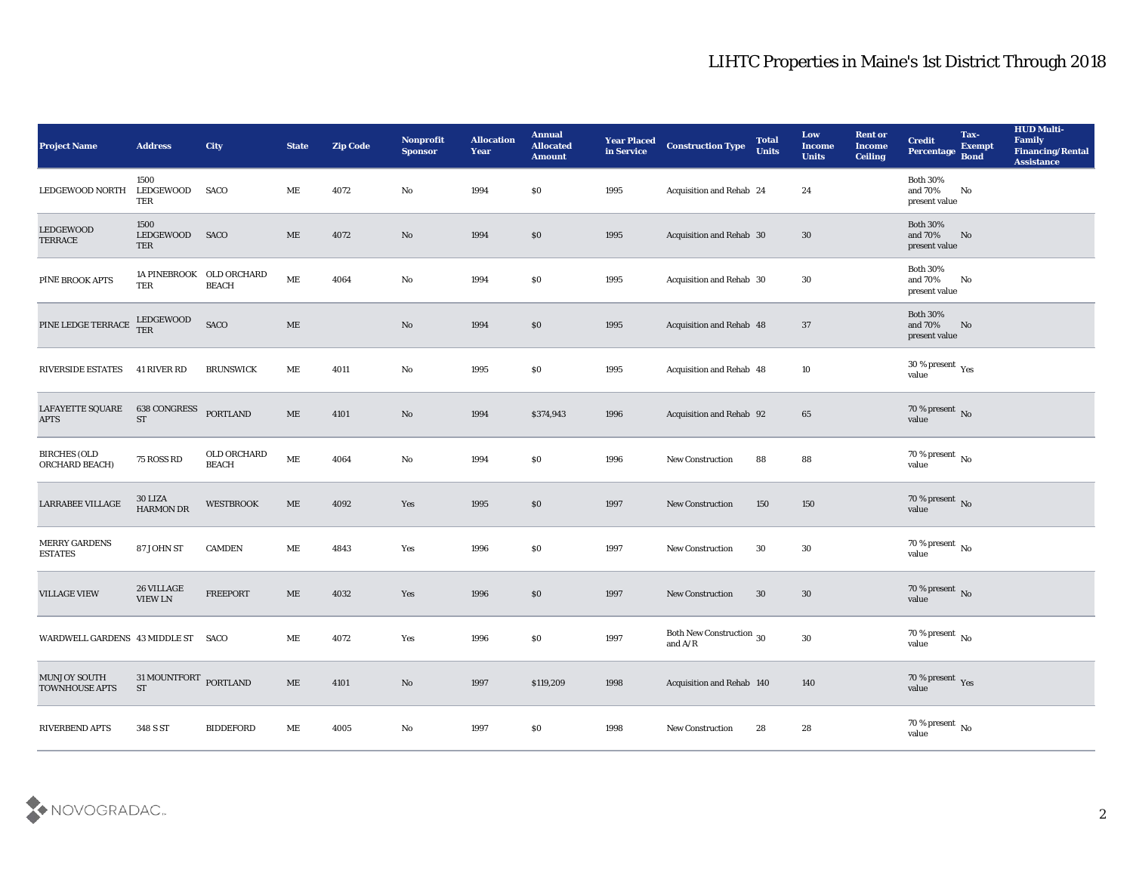| <b>Project Name</b>                   | <b>Address</b>                               | City                                     | <b>State</b>                 | <b>Zip Code</b> | Nonprofit<br><b>Sponsor</b> | <b>Allocation</b><br><b>Year</b> | <b>Annual</b><br><b>Allocated</b><br><b>Amount</b> | <b>Year Placed</b><br>in Service | <b>Construction Type</b>              | <b>Total</b><br><b>Units</b> | Low<br><b>Income</b><br><b>Units</b> | <b>Rent or</b><br><b>Income</b><br><b>Ceiling</b> | <b>Credit</b><br>Percentage                 | Tax-<br><b>Exempt</b><br><b>Bond</b> | <b>HUD Multi-</b><br>Family<br><b>Financing/Rental</b><br><b>Assistance</b> |
|---------------------------------------|----------------------------------------------|------------------------------------------|------------------------------|-----------------|-----------------------------|----------------------------------|----------------------------------------------------|----------------------------------|---------------------------------------|------------------------------|--------------------------------------|---------------------------------------------------|---------------------------------------------|--------------------------------------|-----------------------------------------------------------------------------|
| LEDGEWOOD NORTH                       | 1500<br><b>LEDGEWOOD</b><br>TER              | SACO                                     | ME                           | 4072            | No                          | 1994                             | $\$0$                                              | 1995                             | Acquisition and Rehab 24              |                              | 24                                   |                                                   | <b>Both 30%</b><br>and 70%<br>present value | No                                   |                                                                             |
| LEDGEWOOD<br><b>TERRACE</b>           | 1500<br>LEDGEWOOD<br>TER                     | SACO                                     | ME                           | 4072            | No                          | 1994                             | \$0                                                | 1995                             | Acquisition and Rehab 30              |                              | 30                                   |                                                   | <b>Both 30%</b><br>and 70%<br>present value | No                                   |                                                                             |
| PINE BROOK APTS                       | TER                                          | 1A PINEBROOK OLD ORCHARD<br><b>BEACH</b> | ME                           | 4064            | $\rm\thinspace No$          | 1994                             | \$0                                                | 1995                             | Acquisition and Rehab 30              |                              | 30                                   |                                                   | <b>Both 30%</b><br>and 70%<br>present value | No                                   |                                                                             |
| PINE LEDGE TERRACE                    | LEDGEWOOD<br><b>TER</b>                      | SACO                                     | $\rm ME$                     |                 | $\mathbf{N}\mathbf{o}$      | 1994                             | $\$0$                                              | 1995                             | Acquisition and Rehab 48              |                              | 37                                   |                                                   | <b>Both 30%</b><br>and 70%<br>present value | No                                   |                                                                             |
| <b>RIVERSIDE ESTATES</b>              | 41 RIVER RD                                  | <b>BRUNSWICK</b>                         | ME                           | 4011            | $\rm\thinspace No$          | 1995                             | $\$0$                                              | 1995                             | Acquisition and Rehab 48              |                              | 10                                   |                                                   | $30\,\%$ present $\,$ Yes value             |                                      |                                                                             |
| LAFAYETTE SQUARE<br><b>APTS</b>       | <b>638 CONGRESS</b><br><b>ST</b>             | PORTLAND                                 | ME                           | 4101            | No                          | 1994                             | \$374,943                                          | 1996                             | Acquisition and Rehab 92              |                              | 65                                   |                                                   | $70\,\%$ present $\,$ No value              |                                      |                                                                             |
| <b>BIRCHES (OLD</b><br>ORCHARD BEACH) | 75 ROSS RD                                   | OLD ORCHARD<br><b>BEACH</b>              | $\operatorname{\mathbf{ME}}$ | 4064            | No                          | 1994                             | \$0                                                | 1996                             | <b>New Construction</b>               | 88                           | 88                                   |                                                   | 70 % present No<br>value                    |                                      |                                                                             |
| LARRABEE VILLAGE                      | 30 LIZA<br><b>HARMON DR</b>                  | <b>WESTBROOK</b>                         | ME                           | 4092            | Yes                         | 1995                             | \$0                                                | 1997                             | <b>New Construction</b>               | 150                          | 150                                  |                                                   | 70 % present $\,$ No $\,$<br>value          |                                      |                                                                             |
| MERRY GARDENS<br><b>ESTATES</b>       | 87 JOHN ST                                   | <b>CAMDEN</b>                            | ME                           | 4843            | Yes                         | 1996                             | \$0                                                | 1997                             | <b>New Construction</b>               | 30                           | 30                                   |                                                   | $70\,\%$ present $\,$ No value              |                                      |                                                                             |
| <b>VILLAGE VIEW</b>                   | 26 VILLAGE<br><b>VIEW LN</b>                 | <b>FREEPORT</b>                          | ME                           | 4032            | Yes                         | 1996                             | \$0                                                | 1997                             | <b>New Construction</b>               | 30                           | 30                                   |                                                   | $70\,\%$ present $\,$ No value              |                                      |                                                                             |
| WARDWELL GARDENS 43 MIDDLE ST SACO    |                                              |                                          | ME                           | 4072            | Yes                         | 1996                             | \$0                                                | 1997                             | Both New Construction 30<br>and $A/R$ |                              | $30\,$                               |                                                   | 70 % present No<br>value                    |                                      |                                                                             |
| <b>MUNJOY SOUTH</b><br>TOWNHOUSE APTS | 31 MOUNTFORT PORTLAND<br>$\operatorname{ST}$ |                                          | $\operatorname{\mathbf{ME}}$ | 4101            | $\rm\thinspace No$          | 1997                             | \$119,209                                          | 1998                             | Acquisition and Rehab 140             |                              | $140\,$                              |                                                   | $70\,\%$ present $\;\;\mathrm{Yes}$ value   |                                      |                                                                             |
| RIVERBEND APTS                        | 348 S ST                                     | <b>BIDDEFORD</b>                         | ME                           | 4005            | $\mathbf {No}$              | 1997                             | \$0                                                | 1998                             | New Construction                      | 28                           | ${\bf 28}$                           |                                                   | $70\,\%$ present $\,$ No value              |                                      |                                                                             |

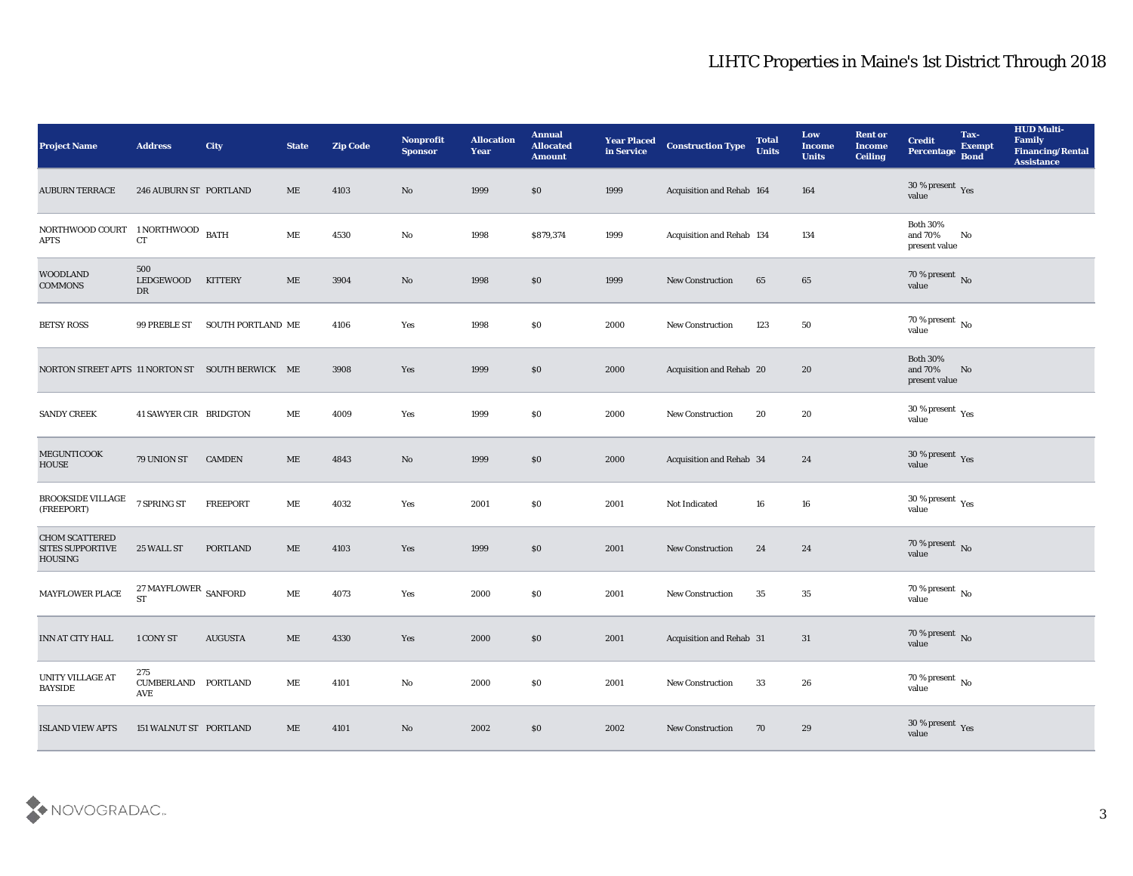| <b>Project Name</b>                                         | <b>Address</b>                                | City              | <b>State</b>                 | <b>Zip Code</b> | <b>Nonprofit</b><br><b>Sponsor</b> | <b>Allocation</b><br><b>Year</b> | <b>Annual</b><br><b>Allocated</b><br><b>Amount</b> | <b>Year Placed</b><br>in Service | <b>Construction Type</b>  | <b>Total</b><br><b>Units</b> | Low<br><b>Income</b><br><b>Units</b> | <b>Rent or</b><br><b>Income</b><br><b>Ceiling</b> | <b>Credit</b><br>Percentage                          | Tax-<br><b>Exempt</b><br><b>Bond</b> | <b>HUD Multi-</b><br>Family<br><b>Financing/Rental</b><br><b>Assistance</b> |
|-------------------------------------------------------------|-----------------------------------------------|-------------------|------------------------------|-----------------|------------------------------------|----------------------------------|----------------------------------------------------|----------------------------------|---------------------------|------------------------------|--------------------------------------|---------------------------------------------------|------------------------------------------------------|--------------------------------------|-----------------------------------------------------------------------------|
| <b>AUBURN TERRACE</b>                                       | 246 AUBURN ST PORTLAND                        |                   | ME                           | 4103            | No                                 | 1999                             | $\$0$                                              | 1999                             | Acquisition and Rehab 164 |                              | 164                                  |                                                   | 30 % present Yes<br>value                            |                                      |                                                                             |
| NORTHWOOD COURT 1 NORTHWOOD BATH<br><b>APTS</b>             | <b>CT</b>                                     |                   | ME                           | 4530            | No                                 | 1998                             | \$879,374                                          | 1999                             | Acquisition and Rehab 134 |                              | 134                                  |                                                   | <b>Both 30%</b><br>and 70%<br>present value          | No                                   |                                                                             |
| <b>WOODLAND</b><br><b>COMMONS</b>                           | 500<br>LEDGEWOOD<br>DR                        | <b>KITTERY</b>    | ME                           | 3904            | No                                 | 1998                             | \$0                                                | 1999                             | New Construction          | 65                           | 65                                   |                                                   | $70\,\%$ present $\,$ No value                       |                                      |                                                                             |
| <b>BETSY ROSS</b>                                           | 99 PREBLE ST                                  | SOUTH PORTLAND ME |                              | 4106            | Yes                                | 1998                             | \$0                                                | 2000                             | New Construction          | 123                          | 50                                   |                                                   | $70\,\%$ present $\,$ No value                       |                                      |                                                                             |
| NORTON STREET APTS 11 NORTON ST SOUTH BERWICK ME            |                                               |                   |                              | 3908            | Yes                                | 1999                             | \$0                                                | 2000                             | Acquisition and Rehab 20  |                              | 20                                   |                                                   | <b>Both 30%</b><br>and 70%<br>present value          | No                                   |                                                                             |
| <b>SANDY CREEK</b>                                          | 41 SAWYER CIR BRIDGTON                        |                   | ME                           | 4009            | Yes                                | 1999                             | \$0                                                | 2000                             | <b>New Construction</b>   | 20                           | 20                                   |                                                   | $30\,\%$ present $\,$ Yes value                      |                                      |                                                                             |
| MEGUNTICOOK<br><b>HOUSE</b>                                 | 79 UNION ST                                   | <b>CAMDEN</b>     | $\rm ME$                     | 4843            | No                                 | 1999                             | \$0                                                | 2000                             | Acquisition and Rehab 34  |                              | 24                                   |                                                   | $30\,\%$ present $\,$ Yes value                      |                                      |                                                                             |
| <b>BROOKSIDE VILLAGE</b><br>(FREEPORT)                      | 7 SPRING ST                                   | <b>FREEPORT</b>   | ME                           | 4032            | Yes                                | 2001                             | \$0                                                | 2001                             | Not Indicated             | 16                           | 16                                   |                                                   | 30 % present $\rm\thinspace\gamma_{\rm es}$<br>value |                                      |                                                                             |
| <b>CHOM SCATTERED</b><br><b>SITES SUPPORTIVE</b><br>HOUSING | 25 WALL ST                                    | <b>PORTLAND</b>   | $\rm ME$                     | 4103            | Yes                                | 1999                             | \$0                                                | 2001                             | <b>New Construction</b>   | 24                           | 24                                   |                                                   | $70\,\%$ present $\,$ No value                       |                                      |                                                                             |
| MAYFLOWER PLACE                                             | $27\,\mathrm{MAYFLOWER}$ SANFORD<br><b>ST</b> |                   | $\rm ME$                     | 4073            | Yes                                | 2000                             | \$0                                                | 2001                             | <b>New Construction</b>   | 35                           | 35                                   |                                                   | $70\,\%$ present $\,$ No value                       |                                      |                                                                             |
| <b>INN AT CITY HALL</b>                                     | 1 CONY ST                                     | <b>AUGUSTA</b>    | ME                           | 4330            | Yes                                | 2000                             | \$0                                                | 2001                             | Acquisition and Rehab 31  |                              | 31                                   |                                                   | 70 % present No<br>value                             |                                      |                                                                             |
| UNITY VILLAGE AT<br><b>BAYSIDE</b>                          | 275<br>CUMBERLAND PORTLAND<br>AVE             |                   | $\operatorname{\mathbf{ME}}$ | 4101            | $\mathbf {No}$                     | 2000                             | $\$0$                                              | 2001                             | <b>New Construction</b>   | 33                           | ${\bf 26}$                           |                                                   | 70 % present $\,$ No $\,$<br>value                   |                                      |                                                                             |
| <b>ISLAND VIEW APTS</b>                                     | 151 WALNUT ST PORTLAND                        |                   | $\rm ME$                     | 4101            | $\rm\thinspace No$                 | 2002                             | \$0                                                | 2002                             | <b>New Construction</b>   | 70                           | 29                                   |                                                   | $30\,\%$ present $\,$ Yes value                      |                                      |                                                                             |

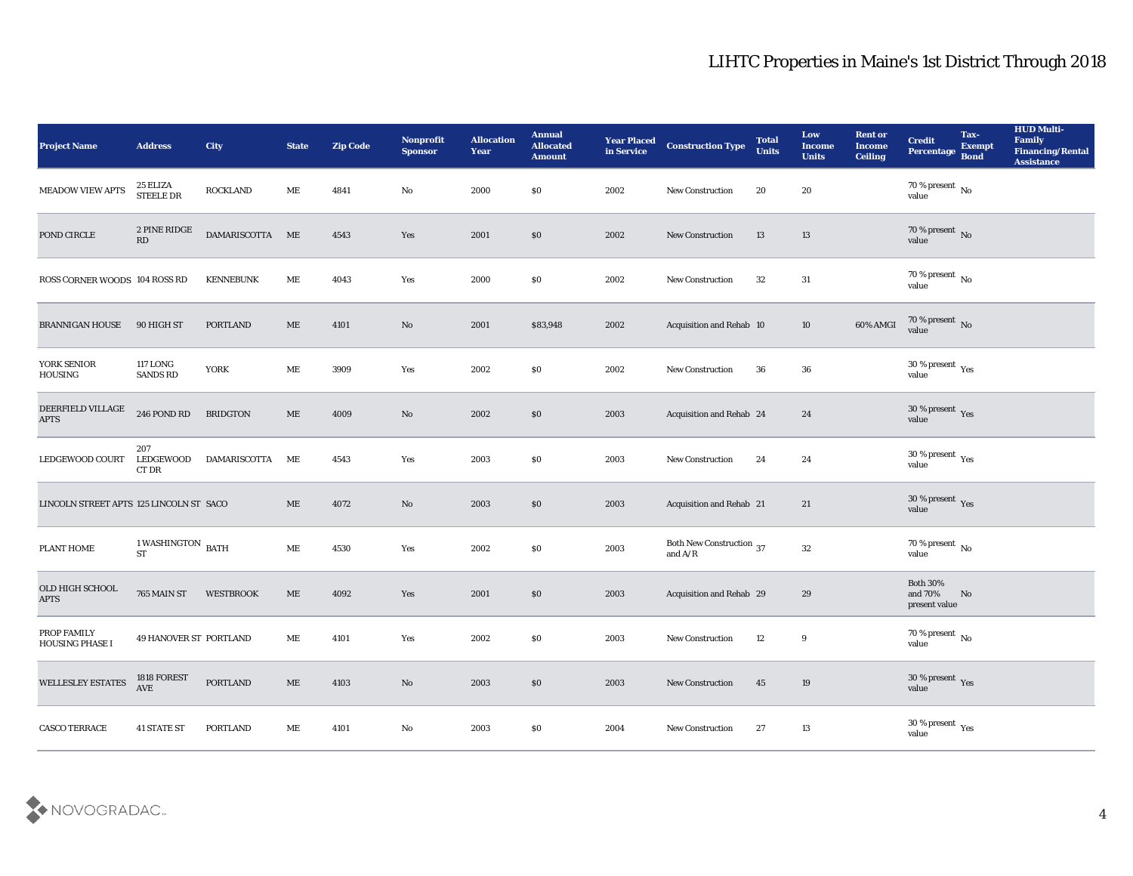| <b>Project Name</b>                      | <b>Address</b>                      | <b>City</b>         | <b>State</b>  | <b>Zip Code</b> | Nonprofit<br><b>Sponsor</b> | <b>Allocation</b><br><b>Year</b> | <b>Annual</b><br><b>Allocated</b><br><b>Amount</b> | <b>Year Placed</b><br>in Service | <b>Construction Type</b>              | <b>Total</b><br><b>Units</b> | Low<br><b>Income</b><br><b>Units</b> | <b>Rent or</b><br><b>Income</b><br><b>Ceiling</b> | <b>Credit</b><br>Percentage                 | Tax-<br><b>Exempt</b><br><b>Bond</b> | <b>HUD Multi-</b><br>Family<br><b>Financing/Rental</b><br><b>Assistance</b> |
|------------------------------------------|-------------------------------------|---------------------|---------------|-----------------|-----------------------------|----------------------------------|----------------------------------------------------|----------------------------------|---------------------------------------|------------------------------|--------------------------------------|---------------------------------------------------|---------------------------------------------|--------------------------------------|-----------------------------------------------------------------------------|
| <b>MEADOW VIEW APTS</b>                  | 25 ELIZA<br><b>STEELE DR</b>        | <b>ROCKLAND</b>     | МE            | 4841            | No                          | 2000                             | \$0                                                | 2002                             | <b>New Construction</b>               | 20                           | 20                                   |                                                   | $70\,\%$ present $\,$ No value              |                                      |                                                                             |
| POND CIRCLE                              | 2 PINE RIDGE<br>RD                  | DAMARISCOTTA ME     |               | 4543            | Yes                         | 2001                             | \$0                                                | 2002                             | <b>New Construction</b>               | 13                           | 13                                   |                                                   | $70\,\%$ present $\,$ No value              |                                      |                                                                             |
| ROSS CORNER WOODS 104 ROSS RD            |                                     | <b>KENNEBUNK</b>    | ME            | 4043            | Yes                         | 2000                             | \$0                                                | 2002                             | New Construction                      | 32                           | 31                                   |                                                   | 70 % present $\,$ No $\,$<br>value          |                                      |                                                                             |
| <b>BRANNIGAN HOUSE</b>                   | 90 HIGH ST                          | <b>PORTLAND</b>     | ME            | 4101            | No                          | 2001                             | \$83,948                                           | 2002                             | Acquisition and Rehab 10              |                              | 10                                   | 60% AMGI                                          | $70\,\%$ present $\,$ No value              |                                      |                                                                             |
| YORK SENIOR<br>HOUSING                   | <b>117 LONG</b><br><b>SANDS RD</b>  | <b>YORK</b>         | ME            | 3909            | Yes                         | 2002                             | \$0                                                | 2002                             | <b>New Construction</b>               | 36                           | 36                                   |                                                   | $30\,\%$ present $\,$ Yes value             |                                      |                                                                             |
| DEERFIELD VILLAGE<br><b>APTS</b>         | <b>246 POND RD</b>                  | <b>BRIDGTON</b>     | ME            | 4009            | No                          | 2002                             | \$0                                                | 2003                             | Acquisition and Rehab 24              |                              | 24                                   |                                                   | $30\,\%$ present $\,$ Yes value             |                                      |                                                                             |
| LEDGEWOOD COURT                          | 207<br><b>LEDGEWOOD</b><br>CT DR    | <b>DAMARISCOTTA</b> | MЕ            | 4543            | Yes                         | 2003                             | \$0                                                | 2003                             | <b>New Construction</b>               | 24                           | 24                                   |                                                   | $30\,\%$ present $\,$ Yes value             |                                      |                                                                             |
| LINCOLN STREET APTS 125 LINCOLN ST  SACO |                                     |                     | ME            | 4072            | No                          | 2003                             | $\$0$                                              | 2003                             | Acquisition and Rehab 21              |                              | 21                                   |                                                   | $30\,\%$ present $\,$ Yes value             |                                      |                                                                             |
| PLANT HOME                               | 1 WASHINGTON $\,$ BATH<br><b>ST</b> |                     | ME            | 4530            | Yes                         | 2002                             | \$0                                                | 2003                             | Both New Construction 37<br>and $A/R$ |                              | 32                                   |                                                   | $70\,\%$ present $\,$ No value              |                                      |                                                                             |
| OLD HIGH SCHOOL<br><b>APTS</b>           | 765 MAIN ST                         | <b>WESTBROOK</b>    | ME            | 4092            | Yes                         | 2001                             | \$0                                                | 2003                             | Acquisition and Rehab 29              |                              | 29                                   |                                                   | <b>Both 30%</b><br>and 70%<br>present value | No                                   |                                                                             |
| PROP FAMILY<br><b>HOUSING PHASE I</b>    | 49 HANOVER ST PORTLAND              |                     | МE            | 4101            | Yes                         | 2002                             | \$0                                                | 2003                             | <b>New Construction</b>               | 12                           | 9                                    |                                                   | 70 % present No<br>value                    |                                      |                                                                             |
| WELLESLEY ESTATES                        | 1818 FOREST<br>$\operatorname{AVE}$ | <b>PORTLAND</b>     | $\mathbf{ME}$ | 4103            | $\rm\thinspace No$          | 2003                             | \$0                                                | 2003                             | New Construction                      | 45                           | $19\,$                               |                                                   | $30\,\%$ present $\,$ Yes value             |                                      |                                                                             |
| CASCO TERRACE                            | <b>41 STATE ST</b>                  | PORTLAND            | $\mathbf{ME}$ | 4101            | $\rm\thinspace No$          | 2003                             | $\$0$                                              | 2004                             | New Construction                      | 27                           | $13\,$                               |                                                   | $30\,\%$ present $\,$ Yes value             |                                      |                                                                             |

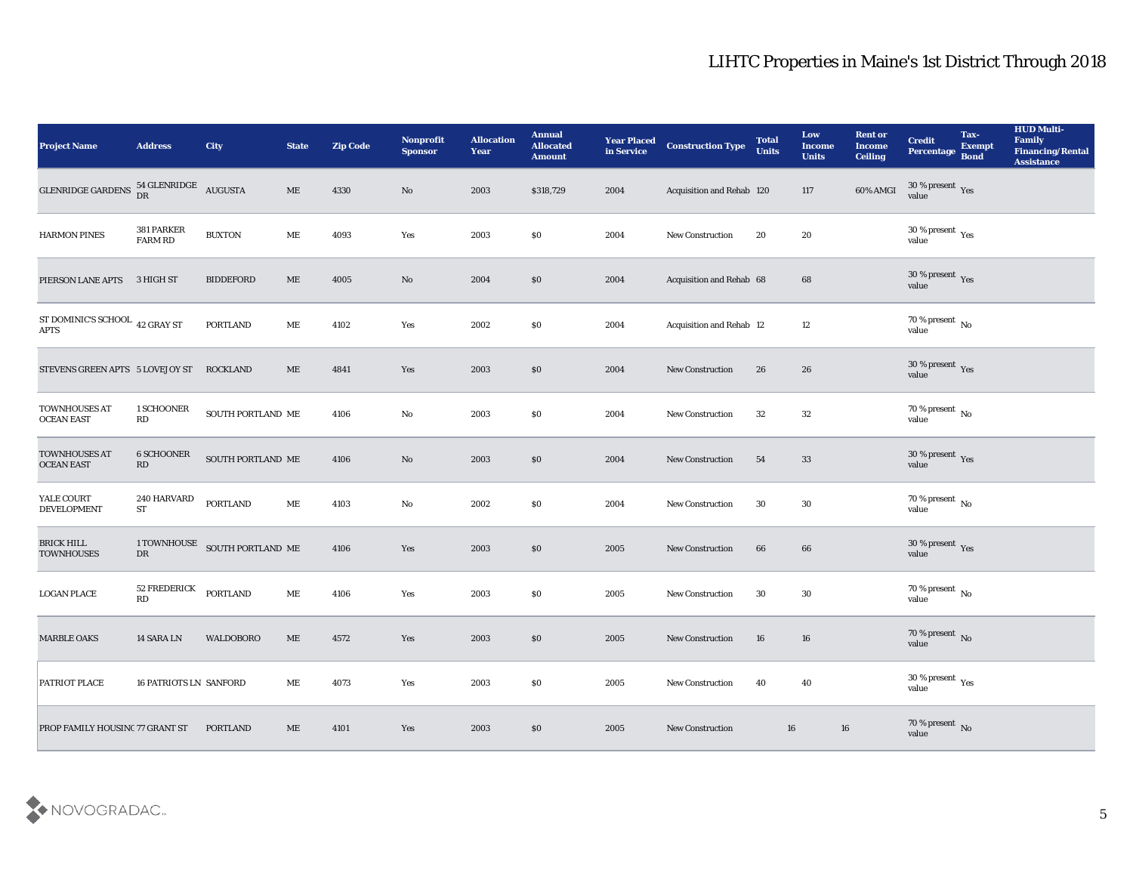| <b>Project Name</b>                       | <b>Address</b>                                                                         | City                          | <b>State</b>                 | <b>Zip Code</b> | Nonprofit<br><b>Sponsor</b> | <b>Allocation</b><br><b>Year</b> | <b>Annual</b><br><b>Allocated</b><br><b>Amount</b> | <b>Year Placed</b><br>in Service | <b>Construction Type</b>  | <b>Total</b><br><b>Units</b> | Low<br><b>Income</b><br><b>Units</b> | <b>Rent or</b><br><b>Income</b><br><b>Ceiling</b> | <b>Credit</b><br>Percentage Bond                     | Tax-<br><b>Exempt</b> | <b>HUD Multi-</b><br>Family<br><b>Financing/Rental</b><br><b>Assistance</b> |
|-------------------------------------------|----------------------------------------------------------------------------------------|-------------------------------|------------------------------|-----------------|-----------------------------|----------------------------------|----------------------------------------------------|----------------------------------|---------------------------|------------------------------|--------------------------------------|---------------------------------------------------|------------------------------------------------------|-----------------------|-----------------------------------------------------------------------------|
| <b>GLENRIDGE GARDENS</b>                  | $\begin{array}{cc} 54 \, \text{GLENRIDGE} & \text{AUGUSTA} \\ \text{DR} & \end{array}$ |                               | $\rm ME$                     | 4330            | No                          | 2003                             | \$318,729                                          | 2004                             | Acquisition and Rehab 120 |                              | 117                                  | 60% AMGI                                          | $30\,\%$ present $\,$ Yes value                      |                       |                                                                             |
| <b>HARMON PINES</b>                       | 381 PARKER<br><b>FARM RD</b>                                                           | <b>BUXTON</b>                 | ME                           | 4093            | Yes                         | 2003                             | \$0                                                | 2004                             | New Construction          | 20                           | 20                                   |                                                   | 30 % present $\rm\thinspace\gamma_{\rm es}$<br>value |                       |                                                                             |
| PIERSON LANE APTS                         | 3 HIGH ST                                                                              | <b>BIDDEFORD</b>              | $\rm ME$                     | 4005            | $\mathbf{N}\mathbf{o}$      | 2004                             | \$0                                                | 2004                             | Acquisition and Rehab 68  |                              | 68                                   |                                                   | $30\,\%$ present $\,$ Yes value                      |                       |                                                                             |
| ST DOMINIC'S SCHOOL $\,$ 42 GRAY ST APTS  |                                                                                        | <b>PORTLAND</b>               | МE                           | 4102            | Yes                         | 2002                             | \$0                                                | 2004                             | Acquisition and Rehab 12  |                              | 12                                   |                                                   | $70\,\%$ present $\,$ No value                       |                       |                                                                             |
| STEVENS GREEN APTS 5 LOVEJOY ST           |                                                                                        | <b>ROCKLAND</b>               | ME                           | 4841            | Yes                         | 2003                             | \$0                                                | 2004                             | <b>New Construction</b>   | 26                           | 26                                   |                                                   | $30\,\%$ present $\,$ Yes value                      |                       |                                                                             |
| <b>TOWNHOUSES AT</b><br><b>OCEAN EAST</b> | 1 SCHOONER<br>RD                                                                       | SOUTH PORTLAND ME             |                              | 4106            | No                          | 2003                             | \$0                                                | 2004                             | <b>New Construction</b>   | 32                           | 32                                   |                                                   | $70\,\%$ present $\,$ No value                       |                       |                                                                             |
| TOWNHOUSES AT<br><b>OCEAN EAST</b>        | <b>6 SCHOONER</b><br>RD                                                                | SOUTH PORTLAND ME             |                              | 4106            | No                          | 2003                             | \$0                                                | 2004                             | <b>New Construction</b>   | 54                           | 33                                   |                                                   | $30\,\%$ present $\,$ Yes value                      |                       |                                                                             |
| YALE COURT<br><b>DEVELOPMENT</b>          | <b>240 HARVARD</b><br><b>ST</b>                                                        | <b>PORTLAND</b>               | $\operatorname{\mathbf{ME}}$ | 4103            | $\mathbf{N}\mathbf{o}$      | 2002                             | \$0                                                | 2004                             | New Construction          | 30                           | 30                                   |                                                   | 70 % present $\,$ No $\,$<br>value                   |                       |                                                                             |
| <b>BRICK HILL</b><br><b>TOWNHOUSES</b>    | ${\rm DR}$                                                                             | 1 TOWNHOUSE SOUTH PORTLAND ME |                              | 4106            | Yes                         | 2003                             | \$0                                                | 2005                             | New Construction          | 66                           | 66                                   |                                                   | $30\,\%$ present $\,$ Yes value                      |                       |                                                                             |
| <b>LOGAN PLACE</b>                        | 52 FREDERICK<br>RD                                                                     | <b>PORTLAND</b>               | $\operatorname{\mathbf{ME}}$ | 4106            | Yes                         | 2003                             | \$0                                                | 2005                             | <b>New Construction</b>   | 30                           | 30                                   |                                                   | $70\,\%$ present $\,$ No value                       |                       |                                                                             |
| <b>MARBLE OAKS</b>                        | 14 SARA LN                                                                             | <b>WALDOBORO</b>              | ME                           | 4572            | Yes                         | 2003                             | \$0                                                | 2005                             | <b>New Construction</b>   | 16                           | 16                                   |                                                   | $70\,\%$ present $\,$ No value                       |                       |                                                                             |
| PATRIOT PLACE                             | <b>16 PATRIOTS LN SANFORD</b>                                                          |                               | $\operatorname{\mathbf{ME}}$ | 4073            | Yes                         | 2003                             | $\$0$                                              | 2005                             | <b>New Construction</b>   | 40                           | 40                                   |                                                   | 30 % present $_{\rm Yes}$<br>value                   |                       |                                                                             |
| PROP FAMILY HOUSINC 77 GRANT ST           |                                                                                        | <b>PORTLAND</b>               | $\operatorname{\mathbf{ME}}$ | 4101            | Yes                         | 2003                             | \$0                                                | 2005                             | <b>New Construction</b>   | 16                           | 16                                   |                                                   | $70\,\%$ present $\,$ No value                       |                       |                                                                             |

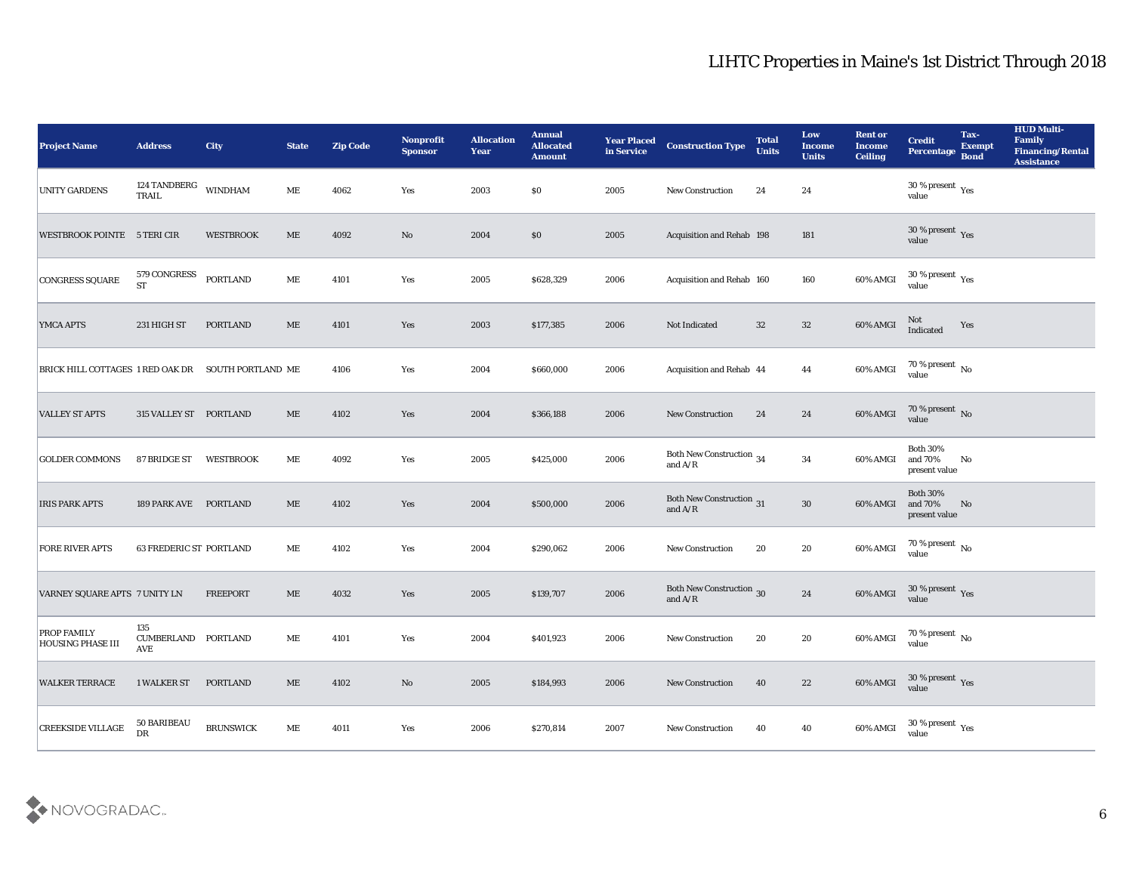| <b>Project Name</b>                                | <b>Address</b>                    | <b>City</b>      | <b>State</b>                 | <b>Zip Code</b> | Nonprofit<br><b>Sponsor</b> | <b>Allocation</b><br><b>Year</b> | <b>Annual</b><br><b>Allocated</b><br><b>Amount</b> | <b>Year Placed</b><br>in Service | <b>Construction Type</b>                                                                 | <b>Total</b><br><b>Units</b> | Low<br><b>Income</b><br><b>Units</b> | <b>Rent or</b><br><b>Income</b><br><b>Ceiling</b> | <b>Credit</b><br>Percentage                                                                              | Tax-<br><b>Exempt</b><br><b>Bond</b> | <b>HUD Multi-</b><br>Family<br>Financing/Rental<br><b>Assistance</b> |
|----------------------------------------------------|-----------------------------------|------------------|------------------------------|-----------------|-----------------------------|----------------------------------|----------------------------------------------------|----------------------------------|------------------------------------------------------------------------------------------|------------------------------|--------------------------------------|---------------------------------------------------|----------------------------------------------------------------------------------------------------------|--------------------------------------|----------------------------------------------------------------------|
| <b>UNITY GARDENS</b>                               | 124 TANDBERG<br><b>TRAIL</b>      | <b>WINDHAM</b>   | ME                           | 4062            | Yes                         | 2003                             | $\$0$                                              | 2005                             | <b>New Construction</b>                                                                  | 24                           | 24                                   |                                                   | $30\,\%$ present $\,$ Yes value                                                                          |                                      |                                                                      |
| WESTBROOK POINTE 5 TERI CIR                        |                                   | <b>WESTBROOK</b> | $\rm ME$                     | 4092            | No                          | 2004                             | $\$0$                                              | 2005                             | Acquisition and Rehab 198                                                                |                              | 181                                  |                                                   | $30\,\%$ present $\,$ Yes value                                                                          |                                      |                                                                      |
| CONGRESS SQUARE                                    | 579 CONGRESS<br><b>ST</b>         | PORTLAND         | ME                           | 4101            | Yes                         | 2005                             | \$628,329                                          | 2006                             | Acquisition and Rehab 160                                                                |                              | 160                                  | 60% AMGI                                          | $30\,\%$ present $\,$ Yes value                                                                          |                                      |                                                                      |
| <b>YMCA APTS</b>                                   | 231 HIGH ST                       | <b>PORTLAND</b>  | $\rm ME$                     | 4101            | Yes                         | 2003                             | \$177,385                                          | 2006                             | Not Indicated                                                                            | 32                           | $32\,$                               | 60% AMGI                                          | Not<br>Indicated                                                                                         | Yes                                  |                                                                      |
| BRICK HILL COTTAGES 1 RED OAK DR SOUTH PORTLAND ME |                                   |                  |                              | 4106            | Yes                         | 2004                             | \$660,000                                          | 2006                             | Acquisition and Rehab 44                                                                 |                              | 44                                   | 60% AMGI                                          | $70\,\%$ present $\,$ No value                                                                           |                                      |                                                                      |
| <b>VALLEY ST APTS</b>                              | 315 VALLEY ST PORTLAND            |                  | $\rm ME$                     | 4102            | Yes                         | 2004                             | \$366,188                                          | 2006                             | New Construction                                                                         | 24                           | 24                                   | 60% AMGI                                          | $70\,\%$ present $\,$ No value                                                                           |                                      |                                                                      |
| <b>GOLDER COMMONS</b>                              | 87 BRIDGE ST                      | <b>WESTBROOK</b> | ME                           | 4092            | Yes                         | 2005                             | \$425,000                                          | 2006                             | Both New Construction 34<br>and $\ensuremath{\mathrm{A}}/\ensuremath{\mathrm{R}}$        |                              | 34                                   | 60% AMGI                                          | <b>Both 30%</b><br>and 70%<br>present value                                                              | No                                   |                                                                      |
| <b>IRIS PARK APTS</b>                              | 189 PARK AVE PORTLAND             |                  | $\rm ME$                     | 4102            | Yes                         | 2004                             | \$500,000                                          | 2006                             | Both New Construction 31<br>and $\ensuremath{\mathrm{A}}/\ensuremath{\mathrm{R}}$        |                              | $30\,$                               | 60% AMGI                                          | <b>Both 30%</b><br>and 70%<br>present value                                                              | No                                   |                                                                      |
| <b>FORE RIVER APTS</b>                             | <b>63 FREDERIC ST PORTLAND</b>    |                  | ME                           | 4102            | Yes                         | 2004                             | \$290,062                                          | 2006                             | <b>New Construction</b>                                                                  | 20                           | 20                                   | 60% AMGI                                          | 70 % present No<br>value                                                                                 |                                      |                                                                      |
| VARNEY SQUARE APTS 7 UNITY LN                      |                                   | <b>FREEPORT</b>  | $\rm ME$                     | 4032            | Yes                         | 2005                             | \$139,707                                          | 2006                             | <b>Both New Construction</b> 30<br>and $\ensuremath{\mathrm{A}}/\ensuremath{\mathrm{R}}$ |                              | 24                                   | 60% AMGI                                          | $30\,\%$ present $\,$ Yes value                                                                          |                                      |                                                                      |
| <b>PROP FAMILY</b><br><b>HOUSING PHASE III</b>     | 135<br>CUMBERLAND PORTLAND<br>AVE |                  | ME                           | 4101            | Yes                         | 2004                             | \$401,923                                          | 2006                             | <b>New Construction</b>                                                                  | 20                           | 20                                   | 60% AMGI                                          | 70 % present $\,$ No $\,$<br>value                                                                       |                                      |                                                                      |
| <b>WALKER TERRACE</b>                              | 1 WALKER ST                       | <b>PORTLAND</b>  | $\operatorname{\mathbf{ME}}$ | 4102            | $\bf No$                    | 2005                             | \$184,993                                          | 2006                             | New Construction                                                                         | 40                           | 22                                   |                                                   | $60\% \text{ AMGI} \quad \begin{array}{c} 30\:\% \text{ present} \\ \text{value} \end{array} \text{Yes}$ |                                      |                                                                      |
| <b>CREEKSIDE VILLAGE</b>                           | 50 BARIBEAU<br>DR                 | <b>BRUNSWICK</b> | $\operatorname{\mathbf{ME}}$ | 4011            | Yes                         | 2006                             | \$270,814                                          | 2007                             | New Construction                                                                         | 40                           | 40                                   | 60% AMGI                                          | $30\,\%$ present $\,$ Yes value                                                                          |                                      |                                                                      |

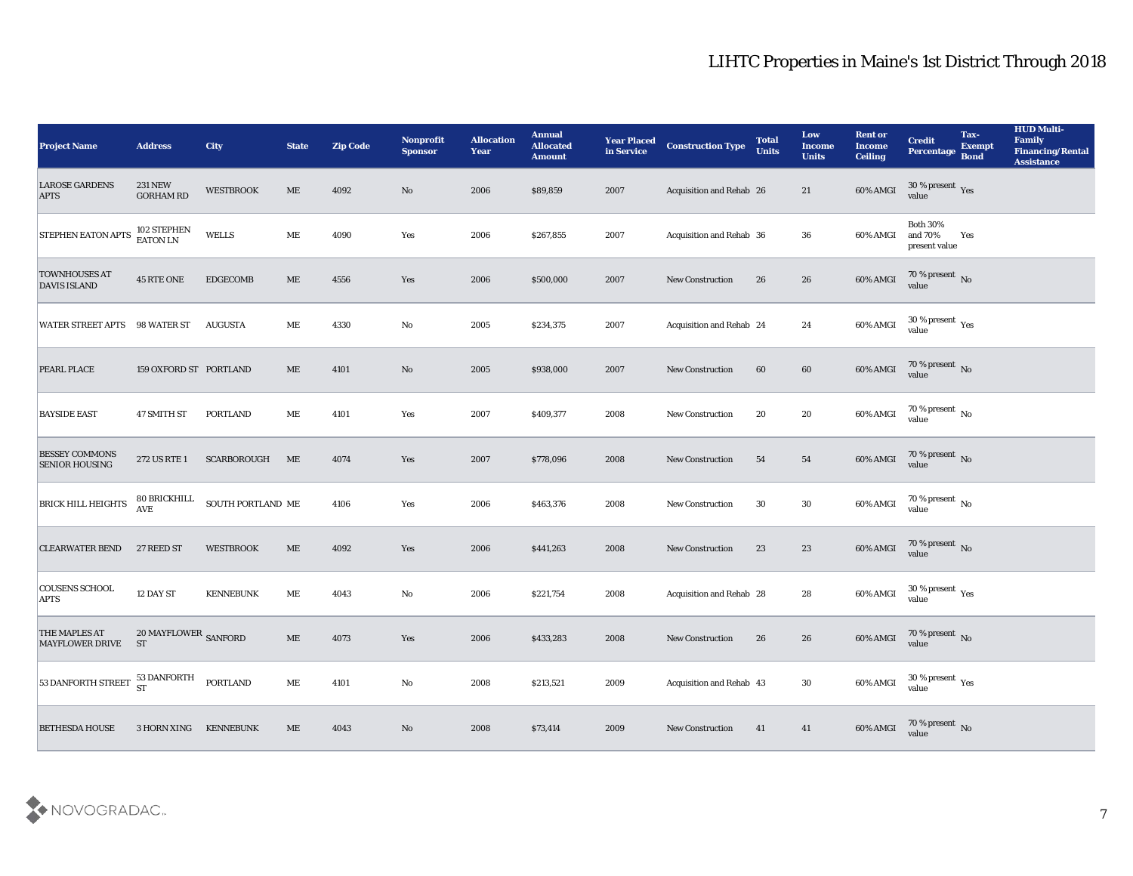| <b>Project Name</b>                            | <b>Address</b>                                | City              | <b>State</b>                 | <b>Zip Code</b> | Nonprofit<br><b>Sponsor</b> | <b>Allocation</b><br><b>Year</b> | <b>Annual</b><br><b>Allocated</b><br><b>Amount</b> | <b>Year Placed</b><br>in Service | <b>Construction Type</b> | <b>Total</b><br><b>Units</b> | Low<br><b>Income</b><br><b>Units</b> | <b>Rent or</b><br><b>Income</b><br><b>Ceiling</b> | <b>Credit</b><br>Percentage                                                                              | Tax-<br><b>Exempt</b><br><b>Bond</b> | <b>HUD Multi-</b><br>Family<br>Financing/Rental<br><b>Assistance</b> |
|------------------------------------------------|-----------------------------------------------|-------------------|------------------------------|-----------------|-----------------------------|----------------------------------|----------------------------------------------------|----------------------------------|--------------------------|------------------------------|--------------------------------------|---------------------------------------------------|----------------------------------------------------------------------------------------------------------|--------------------------------------|----------------------------------------------------------------------|
| <b>LAROSE GARDENS</b><br><b>APTS</b>           | <b>231 NEW</b><br><b>GORHAM RD</b>            | <b>WESTBROOK</b>  | $\rm ME$                     | 4092            | No                          | 2006                             | \$89,859                                           | 2007                             | Acquisition and Rehab 26 |                              | 21                                   | 60% AMGI                                          | $30\,\%$ present $\,$ Yes value                                                                          |                                      |                                                                      |
| <b>STEPHEN EATON APTS</b>                      | 102 STEPHEN<br>EATON LN                       | <b>WELLS</b>      | ME                           | 4090            | Yes                         | 2006                             | \$267,855                                          | 2007                             | Acquisition and Rehab 36 |                              | 36                                   | 60% AMGI                                          | <b>Both 30%</b><br>and 70%<br>present value                                                              | Yes                                  |                                                                      |
| <b>TOWNHOUSES AT</b><br><b>DAVIS ISLAND</b>    | 45 RTE ONE                                    | <b>EDGECOMB</b>   | $\rm ME$                     | 4556            | Yes                         | 2006                             | \$500,000                                          | 2007                             | <b>New Construction</b>  | 26                           | 26                                   | 60% AMGI                                          | $70\,\%$ present $\,$ No value                                                                           |                                      |                                                                      |
| WATER STREET APTS                              | 98 WATER ST                                   | <b>AUGUSTA</b>    | ME                           | 4330            | No                          | 2005                             | \$234,375                                          | 2007                             | Acquisition and Rehab 24 |                              | 24                                   | 60% AMGI                                          | $30\,\%$ present $\,$ Yes value                                                                          |                                      |                                                                      |
| PEARL PLACE                                    | 159 OXFORD ST PORTLAND                        |                   | ME                           | 4101            | No                          | 2005                             | \$938,000                                          | 2007                             | <b>New Construction</b>  | 60                           | 60                                   | 60% AMGI                                          | $70\,\%$ present $\,$ No $\,$ value                                                                      |                                      |                                                                      |
| <b>BAYSIDE EAST</b>                            | 47 SMITH ST                                   | <b>PORTLAND</b>   | ME                           | 4101            | Yes                         | 2007                             | \$409,377                                          | 2008                             | <b>New Construction</b>  | 20                           | 20                                   | 60% AMGI                                          | $70\,\%$ present $\,$ No value                                                                           |                                      |                                                                      |
| <b>BESSEY COMMONS</b><br><b>SENIOR HOUSING</b> | 272 US RTE 1                                  | SCARBOROUGH       | ME                           | 4074            | Yes                         | 2007                             | \$778,096                                          | 2008                             | <b>New Construction</b>  | 54                           | 54                                   | 60% AMGI                                          | $70\,\%$ present $\,$ No value                                                                           |                                      |                                                                      |
| <b>BRICK HILL HEIGHTS</b>                      | 80 BRICKHILL<br><b>AVE</b>                    | SOUTH PORTLAND ME |                              | 4106            | Yes                         | 2006                             | \$463,376                                          | 2008                             | <b>New Construction</b>  | 30                           | 30                                   | 60% AMGI                                          | 70 % present $\,$ No $\,$<br>value                                                                       |                                      |                                                                      |
| <b>CLEARWATER BEND</b>                         | 27 REED ST                                    | <b>WESTBROOK</b>  | ME                           | 4092            | Yes                         | 2006                             | \$441,263                                          | 2008                             | <b>New Construction</b>  | 23                           | 23                                   | 60% AMGI                                          | $70$ % present $_{\rm No}$ value                                                                         |                                      |                                                                      |
| <b>COUSENS SCHOOL</b><br><b>APTS</b>           | 12 DAY ST                                     | <b>KENNEBUNK</b>  | ME                           | 4043            | No                          | 2006                             | \$221,754                                          | 2008                             | Acquisition and Rehab 28 |                              | 28                                   | 60% AMGI                                          | $30\,\%$ present $\,$ Yes value                                                                          |                                      |                                                                      |
| <b>THE MAPLES AT</b><br><b>MAYFLOWER DRIVE</b> | $20\,\mathrm{MAYFLOWER}$ SANFORD<br><b>ST</b> |                   | $\rm ME$                     | 4073            | Yes                         | 2006                             | \$433,283                                          | 2008                             | <b>New Construction</b>  | 26                           | 26                                   | 60% AMGI                                          | 70 % present No<br>value                                                                                 |                                      |                                                                      |
| 53 DANFORTH STREET                             | 53 DANFORTH<br>ST<br>PORTLAND                 |                   | $\operatorname{\mathbf{ME}}$ | 4101            | $\rm\thinspace No$          | 2008                             | \$213,521                                          | 2009                             | Acquisition and Rehab 43 |                              | $30\,$                               |                                                   | $60\% \text{ AMGI} \quad \begin{array}{c} 30\:\% \text{ present} \\ \text{value} \end{array} \text{Yes}$ |                                      |                                                                      |
| <b>BETHESDA HOUSE</b>                          | 3 HORN XING KENNEBUNK                         |                   | $\rm ME$                     | 4043            | $\mathbf {No}$              | 2008                             | \$73,414                                           | 2009                             | New Construction         | 41                           | 41                                   | 60% AMGI                                          | $70\,\%$ present $\,$ No $\,$ value                                                                      |                                      |                                                                      |

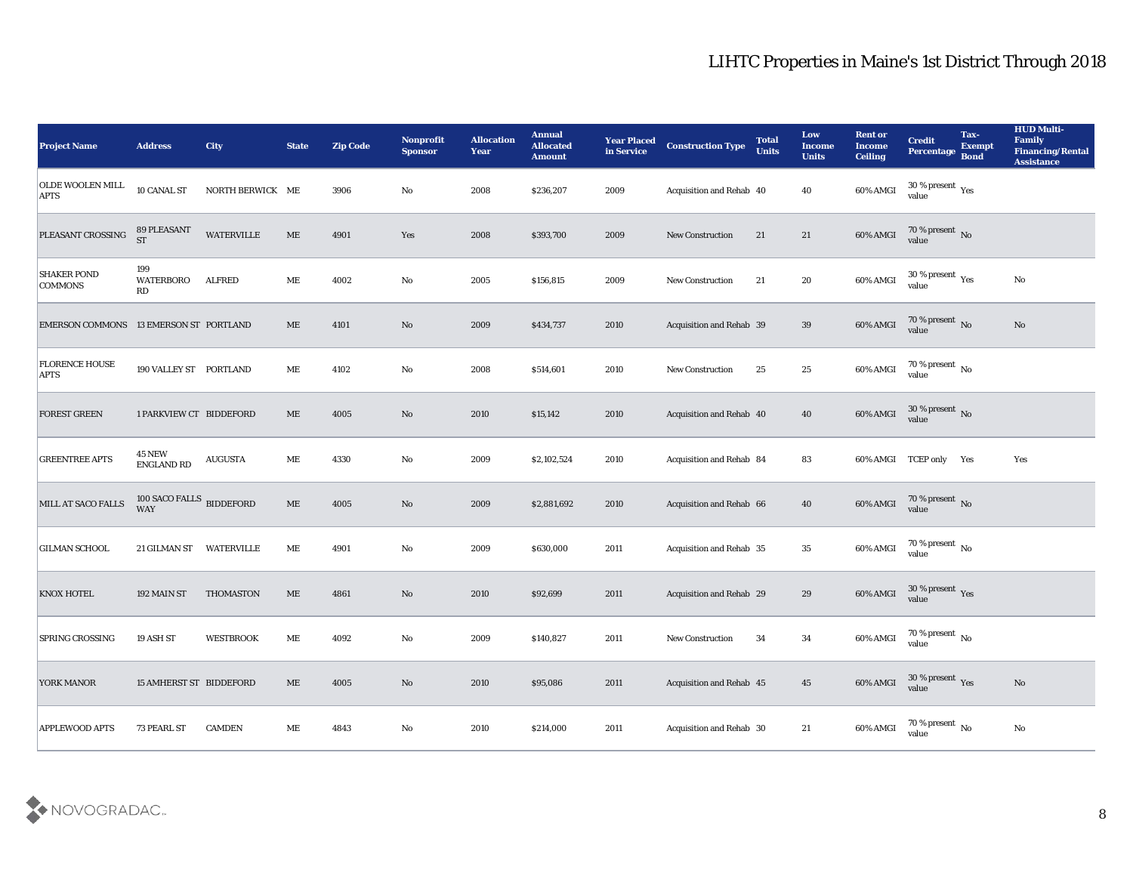| <b>Project Name</b>                    | <b>Address</b>                                | <b>City</b>       | <b>State</b>                 | <b>Zip Code</b> | Nonprofit<br><b>Sponsor</b> | <b>Allocation</b><br><b>Year</b> | <b>Annual</b><br><b>Allocated</b><br><b>Amount</b> | <b>Year Placed</b><br>in Service | <b>Construction Type</b>        | <b>Total</b><br><b>Units</b> | Low<br><b>Income</b><br><b>Units</b> | <b>Rent or</b><br><b>Income</b><br><b>Ceiling</b> | <b>Credit</b><br><b>Percentage</b>       | Tax-<br><b>Exempt</b><br><b>Bond</b> | <b>HUD Multi-</b><br>Family<br><b>Financing/Rental</b><br><b>Assistance</b> |
|----------------------------------------|-----------------------------------------------|-------------------|------------------------------|-----------------|-----------------------------|----------------------------------|----------------------------------------------------|----------------------------------|---------------------------------|------------------------------|--------------------------------------|---------------------------------------------------|------------------------------------------|--------------------------------------|-----------------------------------------------------------------------------|
| <b>OLDE WOOLEN MILL</b><br><b>APTS</b> | 10 CANAL ST                                   | NORTH BERWICK ME  |                              | 3906            | No                          | 2008                             | \$236,207                                          | 2009                             | Acquisition and Rehab 40        |                              | 40                                   | 60% AMGI                                          | 30 % present $\gamma_{\rm e s}$<br>value |                                      |                                                                             |
| PLEASANT CROSSING                      | 89 PLEASANT<br><b>ST</b>                      | <b>WATERVILLE</b> | ME                           | 4901            | Yes                         | 2008                             | \$393,700                                          | 2009                             | <b>New Construction</b>         | 21                           | 21                                   | 60% AMGI                                          | $70\,\%$ present $\,$ No value           |                                      |                                                                             |
| <b>SHAKER POND</b><br>COMMONS          | 199<br>WATERBORO<br>RD                        | <b>ALFRED</b>     | ME                           | 4002            | No                          | 2005                             | \$156,815                                          | 2009                             | New Construction                | 21                           | 20                                   | 60% AMGI                                          | $30\,\%$ present $\,$ Yes value          |                                      | No                                                                          |
| <b>EMERSON COMMONS</b>                 | 13 EMERSON ST PORTLAND                        |                   | ME                           | 4101            | No                          | 2009                             | \$434,737                                          | 2010                             | <b>Acquisition and Rehab 39</b> |                              | 39                                   | 60% AMGI                                          | $70\,\%$ present $\,$ No value           |                                      | No                                                                          |
| <b>FLORENCE HOUSE</b><br><b>APTS</b>   | 190 VALLEY ST PORTLAND                        |                   | ME                           | 4102            | No                          | 2008                             | \$514,601                                          | 2010                             | <b>New Construction</b>         | 25                           | 25                                   | 60% AMGI                                          | 70 % present $\,$ No $\,$<br>value       |                                      |                                                                             |
| <b>FOREST GREEN</b>                    | 1 PARKVIEW CT BIDDEFORD                       |                   | ME                           | 4005            | No                          | 2010                             | \$15,142                                           | 2010                             | Acquisition and Rehab 40        |                              | 40                                   | 60% AMGI                                          | $30\,\%$ present $\,$ No value           |                                      |                                                                             |
| <b>GREENTREE APTS</b>                  | <b>45 NEW</b><br><b>ENGLAND RD</b>            | <b>AUGUSTA</b>    | ME                           | 4330            | No                          | 2009                             | \$2,102,524                                        | 2010                             | Acquisition and Rehab 84        |                              | 83                                   |                                                   | 60% AMGI TCEP only Yes                   |                                      | Yes                                                                         |
| MILL AT SACO FALLS                     | $100$ SACO FALLS $\,$ BIDDEFORD<br><b>WAY</b> |                   | $\rm ME$                     | 4005            | No                          | 2009                             | \$2,881,692                                        | 2010                             | Acquisition and Rehab 66        |                              | 40                                   | 60% AMGI                                          | $70\%$ present No<br>value               |                                      |                                                                             |
| <b>GILMAN SCHOOL</b>                   | 21 GILMAN ST                                  | <b>WATERVILLE</b> | ME                           | 4901            | No                          | 2009                             | \$630,000                                          | 2011                             | Acquisition and Rehab 35        |                              | 35                                   | 60% AMGI                                          | 70 % present $\,$ No $\,$<br>value       |                                      |                                                                             |
| <b>KNOX HOTEL</b>                      | 192 MAIN ST                                   | THOMASTON         | ME                           | 4861            | No                          | 2010                             | \$92,699                                           | 2011                             | Acquisition and Rehab 29        |                              | 29                                   | 60% AMGI                                          | $30\,\%$ present $\,$ Yes value          |                                      |                                                                             |
| <b>SPRING CROSSING</b>                 | 19 ASH ST                                     | <b>WESTBROOK</b>  | MЕ                           | 4092            | No                          | 2009                             | \$140,827                                          | 2011                             | <b>New Construction</b>         | 34                           | 34                                   | 60% AMGI                                          | 70 % present $\,$ No $\,$<br>value       |                                      |                                                                             |
| YORK MANOR                             | <b>15 AMHERST ST BIDDEFORD</b>                |                   | $\operatorname{\mathbf{ME}}$ | 4005            | $\mathbf {No}$              | 2010                             | \$95,086                                           | 2011                             | Acquisition and Rehab 45        |                              | $\bf 45$                             | 60% AMGI                                          | $30\,\%$ present $\,$ Yes value          |                                      | $\rm No$                                                                    |
| <b>APPLEWOOD APTS</b>                  | 73 PEARL ST                                   | <b>CAMDEN</b>     | $\mathbf{ME}$                | 4843            | $\mathbf {No}$              | 2010                             | \$214,000                                          | 2011                             | Acquisition and Rehab 30        |                              | 21                                   | 60% AMGI                                          | 70 % present $\,$ No $\,$<br>value       |                                      | $\rm\thinspace No$                                                          |

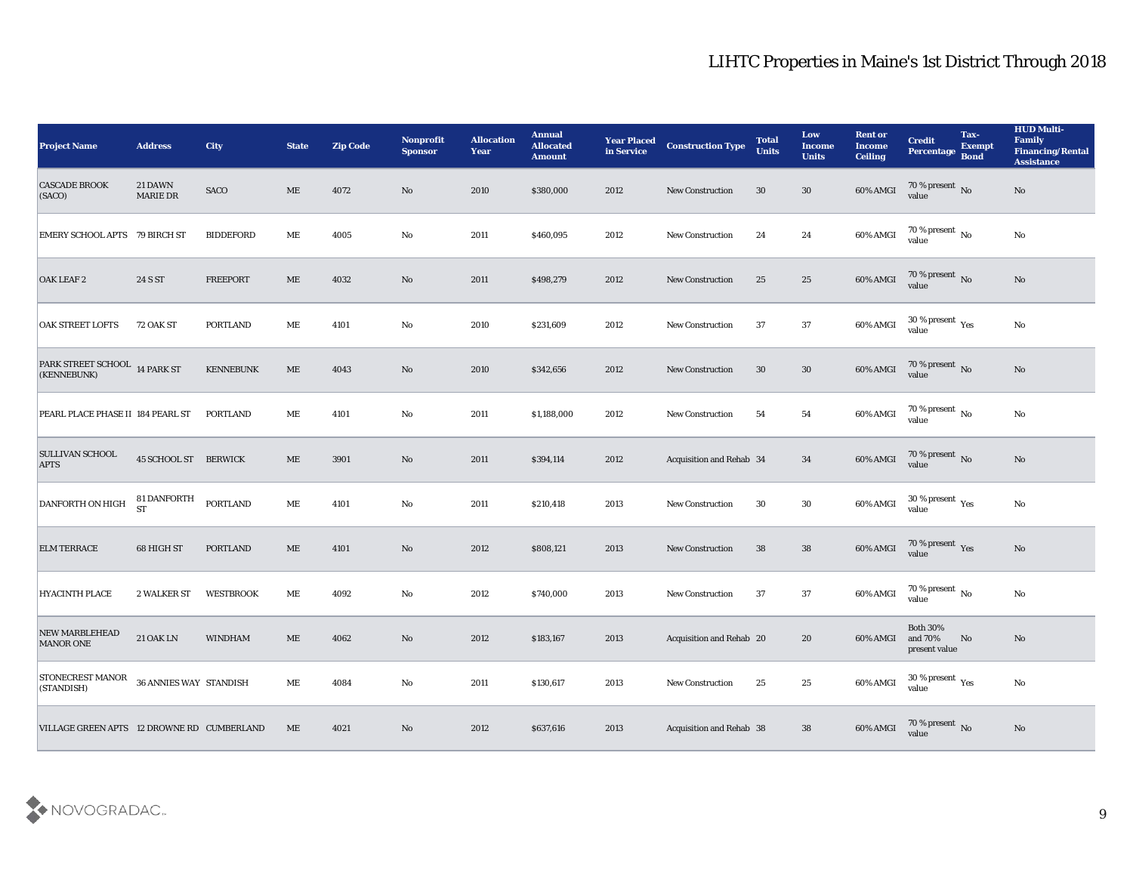| <b>Project Name</b>                                   | <b>Address</b>                  | City             | <b>State</b> | <b>Zip Code</b> | Nonprofit<br><b>Sponsor</b> | <b>Allocation</b><br><b>Year</b> | <b>Annual</b><br><b>Allocated</b><br><b>Amount</b> | <b>Year Placed</b><br>in Service | <b>Construction Type</b> | <b>Total</b><br><b>Units</b> | Low<br><b>Income</b><br><b>Units</b> | <b>Rent or</b><br><b>Income</b><br><b>Ceiling</b> | <b>Credit</b><br>Percentage Bond                     | Tax-<br><b>Exempt</b> | <b>HUD Multi-</b><br>Family<br><b>Financing/Rental</b><br><b>Assistance</b> |
|-------------------------------------------------------|---------------------------------|------------------|--------------|-----------------|-----------------------------|----------------------------------|----------------------------------------------------|----------------------------------|--------------------------|------------------------------|--------------------------------------|---------------------------------------------------|------------------------------------------------------|-----------------------|-----------------------------------------------------------------------------|
| <b>CASCADE BROOK</b><br>(SACO)                        | 21 DAWN<br><b>MARIE DR</b>      | SACO             | ME           | 4072            | No                          | 2010                             | \$380,000                                          | 2012                             | <b>New Construction</b>  | 30                           | 30                                   | 60% AMGI                                          | 70 % present No<br>value                             |                       | No                                                                          |
| EMERY SCHOOL APTS 79 BIRCH ST                         |                                 | <b>BIDDEFORD</b> | МE           | 4005            | No                          | 2011                             | \$460,095                                          | 2012                             | <b>New Construction</b>  | 24                           | 24                                   | 60% AMGI                                          | $70$ % present $\,$ No $\,$ value                    |                       | $\mathbf{N}\mathbf{o}$                                                      |
| OAK LEAF 2                                            | 24 S ST                         | <b>FREEPORT</b>  | ME           | 4032            | No                          | 2011                             | \$498,279                                          | 2012                             | New Construction         | 25                           | 25                                   | 60% AMGI                                          | $70\,\%$ present $\,$ No value                       |                       | No                                                                          |
| OAK STREET LOFTS                                      | 72 OAK ST                       | <b>PORTLAND</b>  | ME           | 4101            | No                          | 2010                             | \$231,609                                          | 2012                             | <b>New Construction</b>  | 37                           | 37                                   | 60% AMGI                                          | $30\,\%$ present $\,$ Yes value                      |                       | $\mathbf{N}\mathbf{o}$                                                      |
| PARK STREET SCHOOL 14 PARK ST<br>(KENNEBUNK)          |                                 | <b>KENNEBUNK</b> | ME           | 4043            | No                          | 2010                             | \$342,656                                          | 2012                             | <b>New Construction</b>  | 30                           | 30                                   | 60% AMGI                                          | $70\,\%$ present $\,$ No value                       |                       | $\mathbf{N}\mathbf{o}$                                                      |
| PEARL PLACE PHASE II 184 PEARL ST                     |                                 | PORTLAND         | МE           | 4101            | No                          | 2011                             | \$1,188,000                                        | 2012                             | <b>New Construction</b>  | 54                           | 54                                   | 60% AMGI                                          | $70\,\%$ present $\,$ No value                       |                       | No                                                                          |
| <b>SULLIVAN SCHOOL</b><br><b>APTS</b>                 | <b>45 SCHOOL ST BERWICK</b>     |                  | ME           | 3901            | No                          | 2011                             | \$394,114                                          | 2012                             | Acquisition and Rehab 34 |                              | 34                                   | 60% AMGI                                          | 70 % present No<br>value                             |                       | $\mathbf{N}\mathbf{o}$                                                      |
| DANFORTH ON HIGH                                      | <b>81 DANFORTH</b><br><b>ST</b> | <b>PORTLAND</b>  | ME           | 4101            | No                          | 2011                             | \$210,418                                          | 2013                             | <b>New Construction</b>  | 30                           | 30                                   | 60% AMGI                                          | 30 % present $\rm\thinspace\gamma_{\rm es}$<br>value |                       | No                                                                          |
| <b>ELM TERRACE</b>                                    | 68 HIGH ST                      | PORTLAND         | ME           | 4101            | No                          | 2012                             | \$808,121                                          | 2013                             | <b>New Construction</b>  | 38                           | 38                                   | 60% AMGI                                          | $70\,\%$ present $\,$ Yes value                      |                       | No                                                                          |
| <b>HYACINTH PLACE</b>                                 | 2 WALKER ST                     | <b>WESTBROOK</b> | ME           | 4092            | No                          | 2012                             | \$740,000                                          | 2013                             | <b>New Construction</b>  | 37                           | 37                                   | 60% AMGI                                          | $70$ % present $\,$ No value                         |                       | $\mathbf{N}\mathbf{o}$                                                      |
| <b>NEW MARBLEHEAD</b><br><b>MANOR ONE</b>             | <b>21 OAK LN</b>                | <b>WINDHAM</b>   | ME           | 4062            | No                          | 2012                             | \$183,167                                          | 2013                             | Acquisition and Rehab 20 |                              | 20                                   | 60% AMGI and 70%                                  | <b>Both 30%</b><br>present value                     | No                    | No                                                                          |
| STONECREST MANOR 36 ANNIES WAY STANDISH<br>(STANDISH) |                                 |                  | $\rm ME$     | 4084            | $\mathbf {No}$              | 2011                             | \$130,617                                          | 2013                             | New Construction         | 25                           | $25\,$                               | 60% AMGI                                          | $30\,\%$ present $\,$ Yes value                      |                       | $\mathbf {No}$                                                              |
| VILLAGE GREEN APTS 12 DROWNE RD CUMBERLAND            |                                 |                  | ME           | 4021            | $\mathbf {No}$              | 2012                             | \$637,616                                          | 2013                             | Acquisition and Rehab 38 |                              | 38                                   | 60% AMGI                                          | $70\,\%$ present $\,$ No value                       |                       | $\mathbf{N}\mathbf{o}$                                                      |

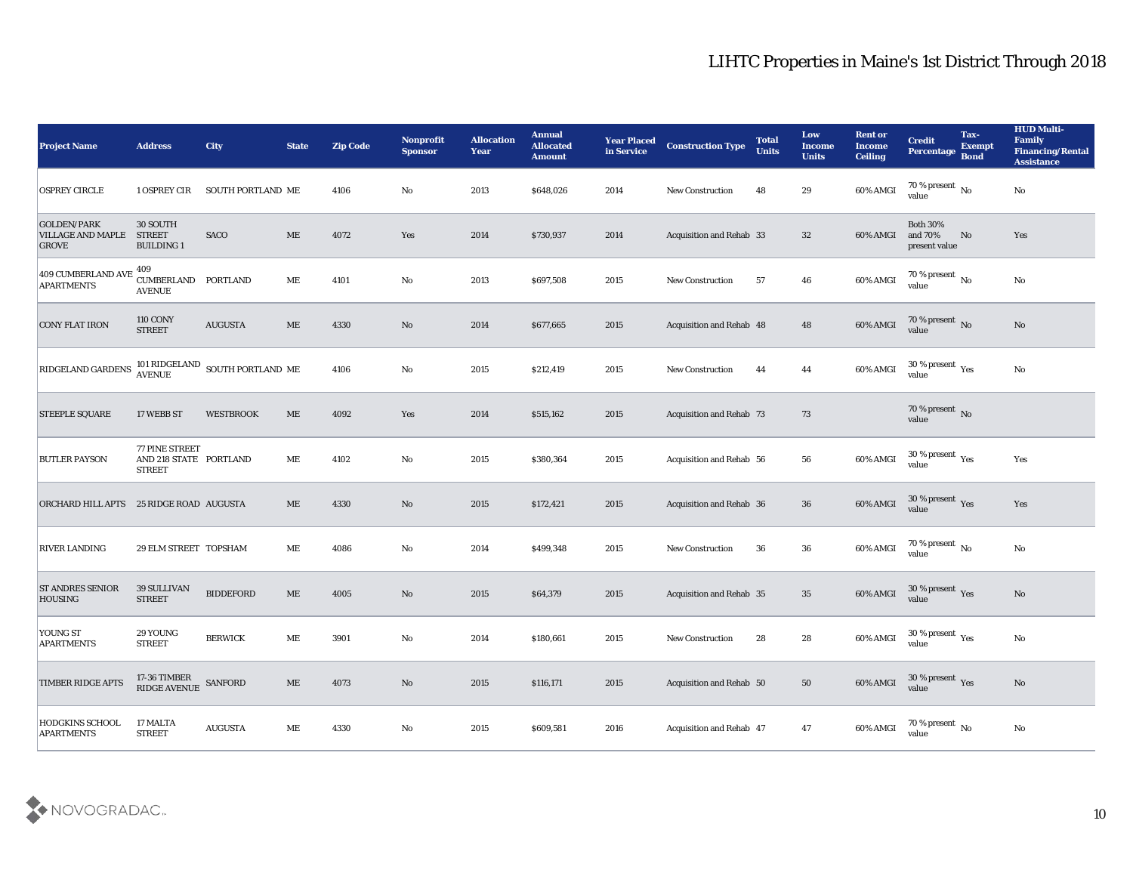| <b>Project Name</b>                                            | <b>Address</b>                                                                 | <b>City</b>                                       | <b>State</b> | <b>Zip Code</b> | <b>Nonprofit</b><br><b>Sponsor</b> | <b>Allocation</b><br>Year | <b>Annual</b><br><b>Allocated</b><br><b>Amount</b> | <b>Year Placed</b><br>in Service | <b>Construction Type</b>        | <b>Total</b><br><b>Units</b> | Low<br><b>Income</b><br><b>Units</b> | <b>Rent or</b><br><b>Income</b><br><b>Ceiling</b> | <b>Credit</b><br>Percentage Bond              | Tax-<br><b>Exempt</b> | <b>HUD Multi-</b><br>Family<br><b>Financing/Rental</b><br><b>Assistance</b> |
|----------------------------------------------------------------|--------------------------------------------------------------------------------|---------------------------------------------------|--------------|-----------------|------------------------------------|---------------------------|----------------------------------------------------|----------------------------------|---------------------------------|------------------------------|--------------------------------------|---------------------------------------------------|-----------------------------------------------|-----------------------|-----------------------------------------------------------------------------|
| <b>OSPREY CIRCLE</b>                                           | 1 OSPREY CIR                                                                   | SOUTH PORTLAND ME                                 |              | 4106            | No                                 | 2013                      | \$648,026                                          | 2014                             | <b>New Construction</b>         | 48                           | 29                                   | 60% AMGI                                          | 70 % present $\overline{N_0}$<br>value        |                       | No                                                                          |
| <b>GOLDEN/PARK</b><br><b>VILLAGE AND MAPLE</b><br><b>GROVE</b> | 30 SOUTH<br><b>STREET</b><br><b>BUILDING 1</b>                                 | <b>SACO</b>                                       | ME           | 4072            | Yes                                | 2014                      | \$730,937                                          | 2014                             | Acquisition and Rehab 33        |                              | 32                                   | 60% AMGI                                          | <b>Both 30%</b><br>and 70%<br>present value   | No                    | Yes                                                                         |
| 409 CUMBERLAND AVE<br><b>APARTMENTS</b>                        | 409<br>CUMBERLAND PORTLAND<br><b>AVENUE</b>                                    |                                                   | ME           | 4101            | No                                 | 2013                      | \$697,508                                          | 2015                             | <b>New Construction</b>         | 57                           | 46                                   | 60% AMGI                                          | 70 % present $\,$ No $\,$<br>value            |                       | $\mathbf {No}$                                                              |
| <b>CONY FLAT IRON</b>                                          | <b>110 CONY</b><br><b>STREET</b>                                               | <b>AUGUSTA</b>                                    | $\rm ME$     | 4330            | No                                 | 2014                      | \$677,665                                          | 2015                             | Acquisition and Rehab 48        |                              | 48                                   | 60% AMGI                                          | $70\,\%$ present $\,$ No value                |                       | No                                                                          |
| <b>RIDGELAND GARDENS</b>                                       |                                                                                | 101 RIDGELAND $_{\rm SOUTH}$ PORTLAND $_{\rm ME}$ |              | 4106            | No                                 | 2015                      | \$212,419                                          | 2015                             | <b>New Construction</b>         | 44                           | 44                                   | 60% AMGI                                          | 30 % present $\,\rm \gamma_{\rm es}$<br>value |                       | No                                                                          |
| <b>STEEPLE SQUARE</b>                                          | 17 WEBB ST                                                                     | <b>WESTBROOK</b>                                  | ME           | 4092            | Yes                                | 2014                      | \$515,162                                          | 2015                             | <b>Acquisition and Rehab 73</b> |                              | 73                                   |                                                   | $70\,\%$ present $\,$ No value                |                       |                                                                             |
| <b>BUTLER PAYSON</b>                                           | 77 PINE STREET<br>AND 218 STATE PORTLAND<br><b>STREET</b>                      |                                                   | ME           | 4102            | No                                 | 2015                      | \$380,364                                          | 2015                             | Acquisition and Rehab 56        |                              | 56                                   | 60% AMGI                                          | $30\,\%$ present $\,$ Yes value               |                       | Yes                                                                         |
| ORCHARD HILL APTS                                              | 25 RIDGE ROAD AUGUSTA                                                          |                                                   | ME           | 4330            | No                                 | 2015                      | \$172,421                                          | 2015                             | <b>Acquisition and Rehab 36</b> |                              | 36                                   | 60% AMGI                                          | 30 % present $_{\rm Yes}$<br>value            |                       | Yes                                                                         |
| <b>RIVER LANDING</b>                                           | 29 ELM STREET TOPSHAM                                                          |                                                   | МE           | 4086            | No                                 | 2014                      | \$499,348                                          | 2015                             | <b>New Construction</b>         | 36                           | 36                                   | 60% AMGI                                          | 70 % present $\,$ No $\,$<br>value            |                       | No                                                                          |
| <b>ST ANDRES SENIOR</b><br><b>HOUSING</b>                      | 39 SULLIVAN<br><b>STREET</b>                                                   | <b>BIDDEFORD</b>                                  | ME           | 4005            | No                                 | 2015                      | \$64,379                                           | 2015                             | <b>Acquisition and Rehab 35</b> |                              | 35                                   | 60% AMGI                                          | $30\,\%$ present $\,$ Yes value               |                       | $\rm\thinspace No$                                                          |
| <b>YOUNG ST</b><br><b>APARTMENTS</b>                           | 29 YOUNG<br><b>STREET</b>                                                      | <b>BERWICK</b>                                    | ME           | 3901            | No                                 | 2014                      | \$180,661                                          | 2015                             | <b>New Construction</b>         | 28                           | 28                                   | 60% AMGI                                          | 30 % present $\gamma_{\rm es}$<br>value       |                       | No                                                                          |
| <b>TIMBER RIDGE APTS</b>                                       | $17\text{-}36$ TIMBER<br>$\texttt{RIDGE}~\text{AVENUE} \quad \texttt{SANFORD}$ |                                                   | $\rm ME$     | 4073            | $\rm\, No$                         | 2015                      | \$116,171                                          | 2015                             | Acquisition and Rehab 50        |                              | $50\,$                               | 60% AMGI                                          | $30\,\%$ present $\,$ Yes value               |                       | $\mathbf{N}\mathbf{o}$                                                      |
| <b>HODGKINS SCHOOL</b><br><b>APARTMENTS</b>                    | 17 MALTA<br><b>STREET</b>                                                      | <b>AUGUSTA</b>                                    | $\rm ME$     | 4330            | $\mathbf {No}$                     | 2015                      | \$609,581                                          | 2016                             | Acquisition and Rehab 47        |                              | 47                                   | 60% AMGI                                          | 70 % present $\,$ No $\,$<br>value            |                       | $\mathbf {No}$                                                              |

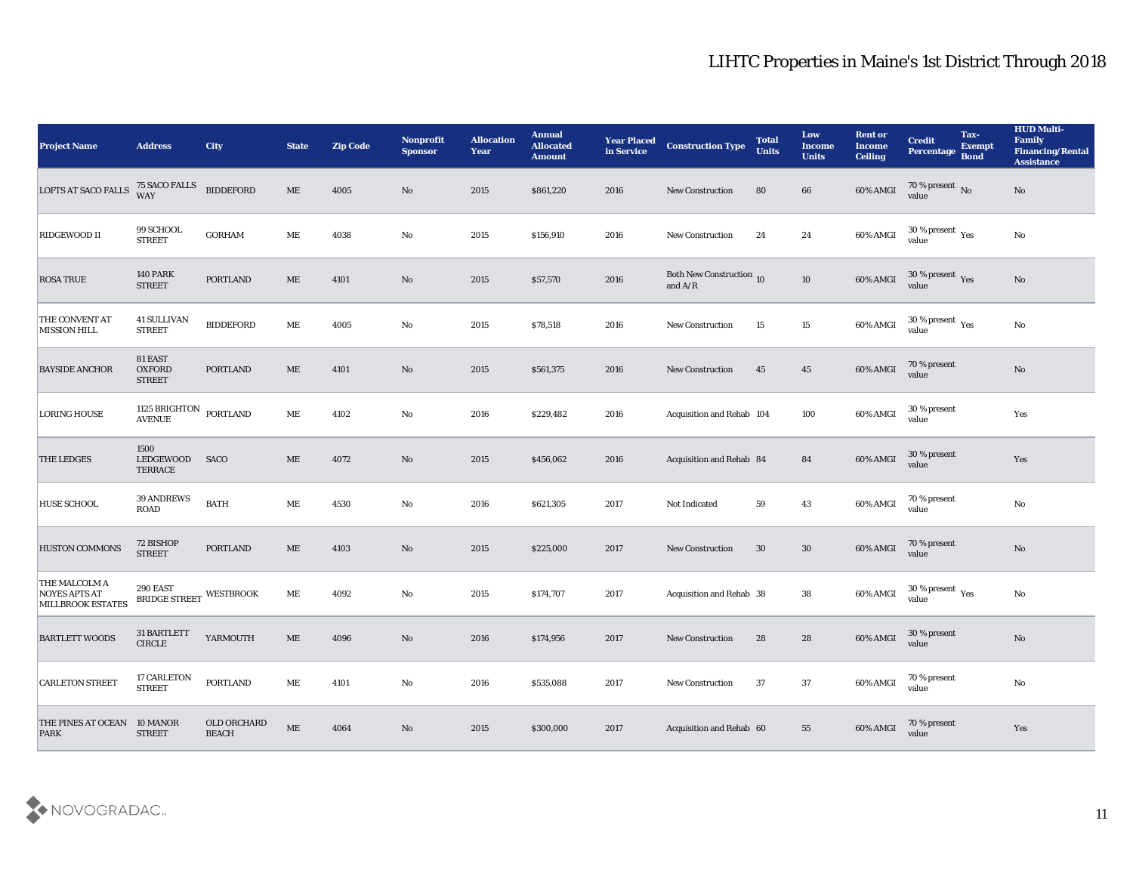| <b>Project Name</b>                                               | <b>Address</b>                                | City                        | <b>State</b> | <b>Zip Code</b> | Nonprofit<br><b>Sponsor</b> | <b>Allocation</b><br><b>Year</b> | <b>Annual</b><br><b>Allocated</b><br><b>Amount</b> | <b>Year Placed</b><br>in Service | <b>Construction Type</b>              | <b>Total</b><br><b>Units</b> | Low<br><b>Income</b><br><b>Units</b> | <b>Rent or</b><br><b>Income</b><br><b>Ceiling</b> | <b>Credit</b><br>Percentage Bond | Tax-<br><b>Exempt</b> | <b>HUD Multi-</b><br>Family<br><b>Financing/Rental</b><br><b>Assistance</b> |
|-------------------------------------------------------------------|-----------------------------------------------|-----------------------------|--------------|-----------------|-----------------------------|----------------------------------|----------------------------------------------------|----------------------------------|---------------------------------------|------------------------------|--------------------------------------|---------------------------------------------------|----------------------------------|-----------------------|-----------------------------------------------------------------------------|
| <b>LOFTS AT SACO FALLS</b>                                        | 75 SACO FALLS<br>WAY                          | <b>BIDDEFORD</b>            | $\rm ME$     | 4005            | No                          | 2015                             | \$861,220                                          | 2016                             | New Construction                      | 80                           | 66                                   | 60% AMGI                                          | $\frac{70\%}{\text{value}}$ No   |                       | No                                                                          |
| RIDGEWOOD II                                                      | 99 SCHOOL<br><b>STREET</b>                    | <b>GORHAM</b>               | ME           | 4038            | No                          | 2015                             | \$156,910                                          | 2016                             | <b>New Construction</b>               | 24                           | 24                                   | 60% AMGI                                          | $30\,\%$ present $\,$ Yes value  |                       | $\mathbf{N}\mathbf{o}$                                                      |
| <b>ROSA TRUE</b>                                                  | <b>140 PARK</b><br><b>STREET</b>              | <b>PORTLAND</b>             | ME           | 4101            | No                          | 2015                             | \$57,570                                           | 2016                             | Both New Construction 10<br>and $A/R$ |                              | 10                                   | 60% AMGI                                          | $30\,\%$ present $\,$ Yes value  |                       | $\mathbf{N}\mathbf{o}$                                                      |
| THE CONVENT AT<br><b>MISSION HILL</b>                             | <b>41 SULLIVAN</b><br><b>STREET</b>           | <b>BIDDEFORD</b>            | $\rm ME$     | 4005            | No                          | 2015                             | \$78,518                                           | 2016                             | <b>New Construction</b>               | 15                           | 15                                   | 60% AMGI                                          | $30\,\%$ present $\,$ Yes value  |                       | $\mathbf{N}\mathbf{o}$                                                      |
| <b>BAYSIDE ANCHOR</b>                                             | 81 EAST<br><b>OXFORD</b><br><b>STREET</b>     | <b>PORTLAND</b>             | ME           | 4101            | No                          | 2015                             | \$561,375                                          | 2016                             | <b>New Construction</b>               | 45                           | 45                                   | 60% AMGI                                          | 70 % present<br>value            |                       | $\mathbf{N}\mathbf{o}$                                                      |
| <b>LORING HOUSE</b>                                               | 1125 BRIGHTON<br><b>AVENUE</b>                | PORTLAND                    | ME           | 4102            | No                          | 2016                             | \$229,482                                          | 2016                             | Acquisition and Rehab 104             |                              | 100                                  | 60% AMGI                                          | 30 % present<br>value            |                       | Yes                                                                         |
| <b>THE LEDGES</b>                                                 | 1500<br>LEDGEWOOD<br><b>TERRACE</b>           | <b>SACO</b>                 | ME           | 4072            | $\rm No$                    | 2015                             | \$456,062                                          | 2016                             | Acquisition and Rehab 84              |                              | 84                                   | 60% AMGI                                          | 30 % present<br>value            |                       | Yes                                                                         |
| <b>HUSE SCHOOL</b>                                                | 39 ANDREWS<br>ROAD                            | <b>BATH</b>                 | ME           | 4530            | $\mathbf{N}\mathbf{o}$      | 2016                             | \$621,305                                          | 2017                             | Not Indicated                         | 59                           | 43                                   | 60% AMGI                                          | 70 % present<br>value            |                       | $\mathbf {No}$                                                              |
| HUSTON COMMONS                                                    | 72 BISHOP<br><b>STREET</b>                    | PORTLAND                    | ME           | 4103            | No                          | 2015                             | \$225,000                                          | 2017                             | <b>New Construction</b>               | 30                           | 30                                   | 60% AMGI                                          | 70 % present<br>value            |                       | No                                                                          |
| THE MALCOLM A<br><b>NOYES APTS AT</b><br><b>MILLBROOK ESTATES</b> | 290 EAST<br><b>BRIDGE STREET</b>              | <b>WESTBROOK</b>            | ME           | 4092            | No                          | 2015                             | \$174,707                                          | 2017                             | Acquisition and Rehab 38              |                              | 38                                   | 60% AMGI                                          | $30\,\%$ present $\,$ Yes value  |                       | $\mathbf{N}\mathbf{o}$                                                      |
| <b>BARTLETT WOODS</b>                                             | 31 BARTLETT<br>$\ensuremath{\mathsf{CIRCLE}}$ | YARMOUTH                    | ME           | 4096            | No                          | 2016                             | \$174,956                                          | 2017                             | <b>New Construction</b>               | 28                           | 28                                   | 60% AMGI                                          | 30 % present<br>value            |                       | No                                                                          |
| <b>CARLETON STREET</b>                                            | 17 CARLETON<br><b>STREET</b>                  | <b>PORTLAND</b>             | $\rm ME$     | 4101            | $\mathbf {No}$              | 2016                             | \$535,088                                          | 2017                             | New Construction                      | 37                           | 37                                   | 60% AMGI                                          | 70 % present<br>value            |                       | $\mathbf {No}$                                                              |
| THE PINES AT OCEAN<br><b>PARK</b>                                 | 10 MANOR<br><b>STREET</b>                     | OLD ORCHARD<br><b>BEACH</b> | $\rm ME$     | 4064            | $\mathbf {No}$              | 2015                             | \$300,000                                          | 2017                             | Acquisition and Rehab 60              |                              | 55                                   | 60% AMGI                                          | 70 % present<br>value            |                       | Yes                                                                         |